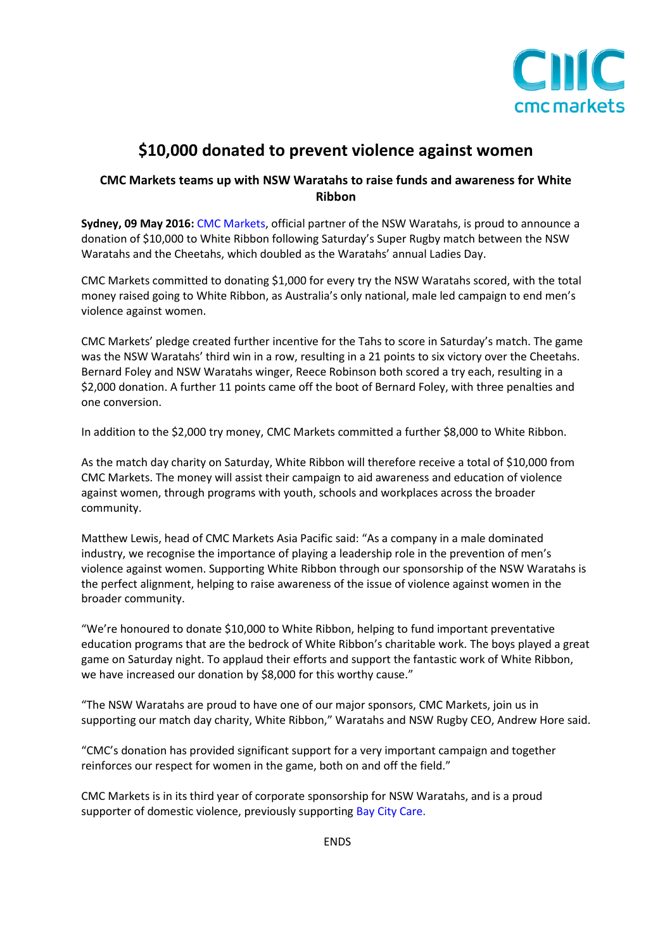

## **\$10,000 donated to prevent violence against women**

## **CMC Markets teams up with NSW Waratahs to raise funds and awareness for White Ribbon**

**Sydney, 09 May 2016:** [CMC Markets,](http://www.cmcmarkets.com.au/) official partner of the NSW Waratahs, is proud to announce a donation of \$10,000 to White Ribbon following Saturday's Super Rugby match between the NSW Waratahs and the Cheetahs, which doubled as the Waratahs' annual Ladies Day.

CMC Markets committed to donating \$1,000 for every try the NSW Waratahs scored, with the total money raised going to White Ribbon, as Australia's only national, male led campaign to end men's violence against women.

CMC Markets' pledge created further incentive for the Tahs to score in Saturday's match. The game was the NSW Waratahs' third win in a row, resulting in a 21 points to six victory over the Cheetahs. Bernard Foley and NSW Waratahs winger, Reece Robinson both scored a try each, resulting in a \$2,000 donation. A further 11 points came off the boot of Bernard Foley, with three penalties and one conversion.

In addition to the \$2,000 try money, CMC Markets committed a further \$8,000 to White Ribbon.

As the match day charity on Saturday, White Ribbon will therefore receive a total of \$10,000 from CMC Markets. The money will assist their campaign to aid awareness and education of violence against women, through programs with youth, schools and workplaces across the broader community.

Matthew Lewis, head of CMC Markets Asia Pacific said: "As a company in a male dominated industry, we recognise the importance of playing a leadership role in the prevention of men's violence against women. Supporting White Ribbon through our sponsorship of the NSW Waratahs is the perfect alignment, helping to raise awareness of the issue of violence against women in the broader community.

"We're honoured to donate \$10,000 to White Ribbon, helping to fund important preventative education programs that are the bedrock of White Ribbon's charitable work. The boys played a great game on Saturday night. To applaud their efforts and support the fantastic work of White Ribbon, we have increased our donation by \$8,000 for this worthy cause."

"The NSW Waratahs are proud to have one of our major sponsors, CMC Markets, join us in supporting our match day charity, White Ribbon," Waratahs and NSW Rugby CEO, Andrew Hore said.

"CMC's donation has provided significant support for a very important campaign and together reinforces our respect for women in the game, both on and off the field."

CMC Markets is in its third year of corporate sponsorship for NSW Waratahs, and is a proud supporter of domestic violence, previously supporting [Bay City Care.](http://www.baycitycare.com.au/)